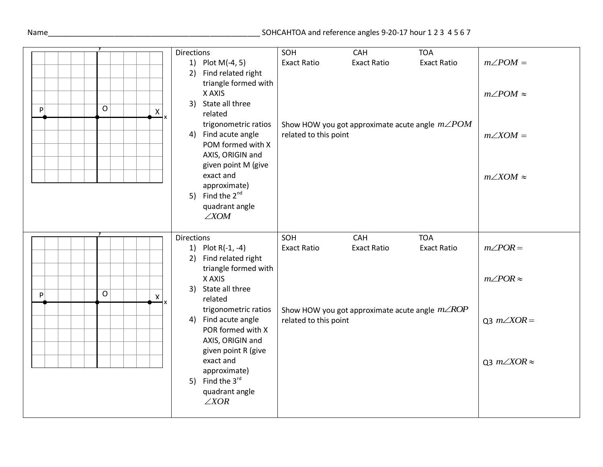## Name\_\_\_\_\_\_\_\_\_\_\_\_\_\_\_\_\_\_\_\_\_\_\_\_\_\_\_\_\_\_\_\_\_\_\_\_\_\_\_\_\_\_\_\_\_\_\_\_\_\_\_ SOHCAHTOA and reference angles 9-20-17 hour 1 2 3 4 5 6 7

| $\mathsf{O}$<br>$\mathsf{P}$<br>X<br>x               | <b>Directions</b><br>1) Plot M(-4, 5)<br>2) Find related right<br>triangle formed with<br>X AXIS<br>3) State all three<br>related<br>trigonometric ratios<br>4) Find acute angle<br>POM formed with X<br>AXIS, ORIGIN and<br>given point M (give<br>exact and<br>approximate)<br>5) Find the $2^{nd}$ | SOH<br><b>Exact Ratio</b><br>Show HOW you got approximate acute angle $m\angle POM$<br>related to this point | CAH<br><b>Exact Ratio</b>                              | <b>TOA</b><br><b>Exact Ratio</b> | $m\angle POM =$<br>$m\angle POM \approx$<br>$m\angle XOM =$<br>$m\angle XOM \approx$ |
|------------------------------------------------------|-------------------------------------------------------------------------------------------------------------------------------------------------------------------------------------------------------------------------------------------------------------------------------------------------------|--------------------------------------------------------------------------------------------------------------|--------------------------------------------------------|----------------------------------|--------------------------------------------------------------------------------------|
|                                                      | quadrant angle<br>$\angle$ XOM                                                                                                                                                                                                                                                                        |                                                                                                              |                                                        |                                  |                                                                                      |
|                                                      | <b>Directions</b><br>1) Plot R(-1, -4)<br>2) Find related right<br>triangle formed with                                                                                                                                                                                                               | SOH<br><b>Exact Ratio</b>                                                                                    | CAH<br><b>Exact Ratio</b>                              | <b>TOA</b><br><b>Exact Ratio</b> | $m\angle POR =$                                                                      |
| $\overline{O}$<br>$\mathsf{P}$<br>$\pmb{\mathsf{X}}$ | X AXIS<br>3) State all three<br>related                                                                                                                                                                                                                                                               |                                                                                                              |                                                        |                                  | $m\angle POR \approx$                                                                |
|                                                      | trigonometric ratios<br>4) Find acute angle<br>POR formed with X<br>AXIS, ORIGIN and<br>given point R (give                                                                                                                                                                                           | related to this point                                                                                        | Show HOW you got approximate acute angle $m\angle ROP$ |                                  | Q3 $m\angle XOR =$                                                                   |
|                                                      | exact and<br>approximate)<br>5) Find the 3rd<br>quadrant angle<br>$\angle XOR$                                                                                                                                                                                                                        |                                                                                                              |                                                        |                                  | Q3 $m\angle XOR \approx$                                                             |